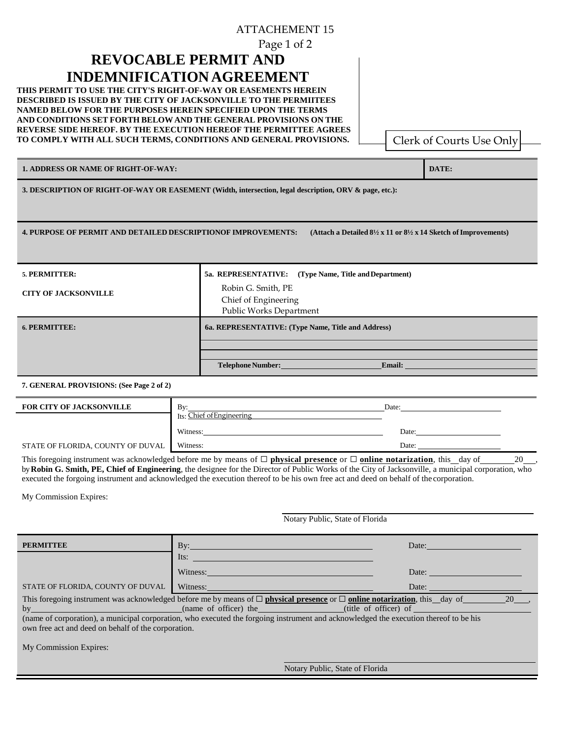## ATTACHEMENT 15

Page 1 of 2

## **REVOCABLE PERMIT AND INDEMNIFICATION AGREEMENT**

**THIS PERMIT TO USE THE CITY'S RIGHT-OF-WAY OR EASEMENTS HEREIN DESCRIBED IS ISSUED BY THE CITY OF JACKSONVILLE TO THE PERMIITEES NAMED BELOW FOR THE PURPOSES HEREIN SPECIFIED UPON THE TERMS AND CONDITIONS SET FORTH BELOW AND THE GENERAL PROVISIONS ON THE REVERSE SIDE HEREOF. BY THE EXECUTION HEREOF THE PERMITTEE AGREES TO COMPLY WITH ALL SUCH TERMS, CONDITIONS AND GENERAL PROVISIONS.**

Clerk of Courts Use Only

**1. ADDRESS OR NAME OF RIGHT-OF-WAY: DATE:**

**3. DESCRIPTION OF RIGHT-OF-WAY OR EASEMENT (Width, intersection, legal description, ORV & page, etc.):**

**4. PURPOSE OF PERMIT AND DETAILED DESCRIPTIONOF IMPROVEMENTS: (Attach a Detailed 8½ x 11 or 8½ x 14 Sketch ofImprovements)**

| 5. PERMITTER:               | 5a. REPRESENTATIVE: (Type Name, Title and Department)                 |  |  |
|-----------------------------|-----------------------------------------------------------------------|--|--|
| <b>CITY OF JACKSONVILLE</b> | Robin G. Smith, PE<br>Chief of Engineering<br>Public Works Department |  |  |
| <b>6. PERMITTEE:</b>        | 6a. REPRESENTATIVE: (Type Name, Title and Address)                    |  |  |
|                             |                                                                       |  |  |
|                             | <b>Telephone Number:</b><br><b>Email:</b>                             |  |  |

## **7. GENERAL PROVISIONS: (See Page 2 of 2)**

| <b>FOR CITY OF JACKSONVILLE</b>   | Bv<br>Its: Chief of Engineering | Date: |
|-----------------------------------|---------------------------------|-------|
|                                   | Witness:                        | Date: |
| STATE OF FLORIDA, COUNTY OF DUVAL | Witness:                        | Date: |

This foregoing instrument was acknowledged before me by means of ☐ **physical presence** or ☐ **online notarization**, this day of 20 , by **Robin G. Smith, PE, Chief of Engineering**, the designee for the Director of Public Works of the City of Jacksonville, a municipal corporation, who executed the forgoing instrument and acknowledged the execution thereof to be his own free act and deed on behalf of the corporation.

My Commission Expires:

 $My$ 

|                                                                                                                                                                                                                                                                                                                                                            | Notary Public, State of Florida |                                 |       |  |  |
|------------------------------------------------------------------------------------------------------------------------------------------------------------------------------------------------------------------------------------------------------------------------------------------------------------------------------------------------------------|---------------------------------|---------------------------------|-------|--|--|
| <b>PERMITTEE</b>                                                                                                                                                                                                                                                                                                                                           |                                 |                                 | Date: |  |  |
|                                                                                                                                                                                                                                                                                                                                                            | Its:                            |                                 |       |  |  |
|                                                                                                                                                                                                                                                                                                                                                            | Witness: Witness:               |                                 | Date: |  |  |
| STATE OF FLORIDA, COUNTY OF DUVAL                                                                                                                                                                                                                                                                                                                          | Witness:                        |                                 | Date: |  |  |
| This foregoing instrument was acknowledged before me by means of $\Box$ <b>physical presence</b> or $\Box$ <b>online notarization</b> , this day of<br>20,<br>(name of corporation), a municipal corporation, who executed the forgoing instrument and acknowledged the execution thereof to be his<br>own free act and deed on behalf of the corporation. |                                 |                                 |       |  |  |
| <b>My Commission Expires:</b>                                                                                                                                                                                                                                                                                                                              |                                 |                                 |       |  |  |
|                                                                                                                                                                                                                                                                                                                                                            |                                 | Notary Public, State of Florida |       |  |  |